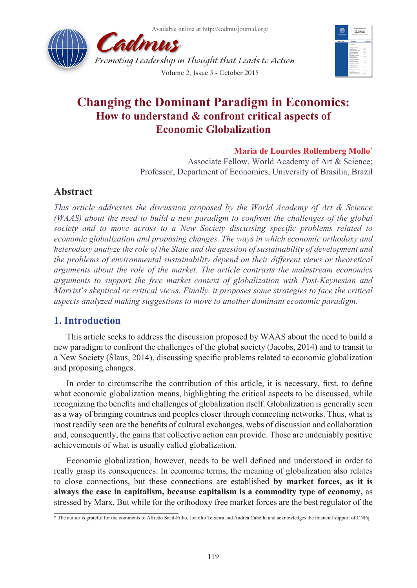



# **Changing the Dominant Paradigm in Economics: How to understand & confront critical aspects of Economic Globalization**

### **Maria de Lourdes Rollemberg Mollo**\*

Associate Fellow, World Academy of Art & Science; Professor, Department of Economics, University of Brasília, Brazil

## **Abstract**

*This article addresses the discussion proposed by the World Academy of Art & Science (WAAS) about the need to build a new paradigm to confront the challenges of the global society and to move across to a New Society discussing specific problems related to economic globalization and proposing changes. The ways in which economic orthodoxy and heterodoxy analyze the role of the State and the question of sustainability of development and the problems of environmental sustainability depend on their different views or theoretical arguments about the role of the market. The article contrasts the mainstream economics arguments to support the free market context of globalization with Post-Keynesian and Marxist*'*s skeptical or critical views. Finally, it proposes some strategies to face the critical aspects analyzed making suggestions to move to another dominant economic paradigm.*

## **1. Introduction**

This article seeks to address the discussion proposed by WAAS about the need to build a new paradigm to confront the challenges of the global society (Jacobs, 2014) and to transit to a New Society (Šlaus, 2014), discussing specific problems related to economic globalization and proposing changes.

In order to circumscribe the contribution of this article, it is necessary, first, to define what economic globalization means, highlighting the critical aspects to be discussed, while recognizing the benefits and challenges of globalization itself. Globalization is generally seen as a way of bringing countries and peoples closer through connecting networks. Thus, what is most readily seen are the benefits of cultural exchanges, webs of discussion and collaboration and, consequently, the gains that collective action can provide. Those are undeniably positive achievements of what is usually called globalization.

Economic globalization, however, needs to be well defined and understood in order to really grasp its consequences. In economic terms, the meaning of globalization also relates to close connections, but these connections are established **by market forces, as it is always the case in capitalism, because capitalism is a commodity type of economy,** as stressed by Marx. But while for the orthodoxy free market forces are the best regulator of the

<sup>\*</sup> The author is grateful for the comments of Alfredo Saad-Filho, Joanílio Teixeira and Andrea Cabello and acknowledges the financial support of CNPq.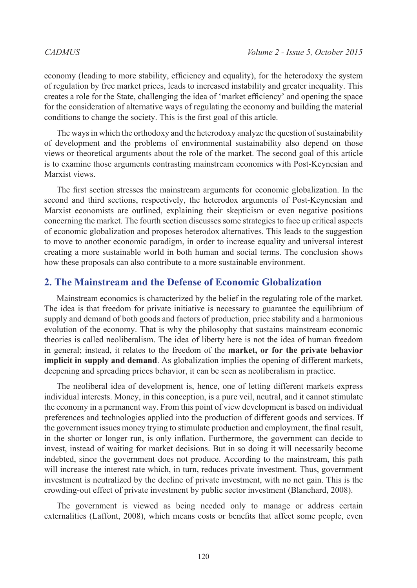economy (leading to more stability, efficiency and equality), for the heterodoxy the system of regulation by free market prices, leads to increased instability and greater inequality. This creates a role for the State, challenging the idea of 'market efficiency' and opening the space for the consideration of alternative ways of regulating the economy and building the material conditions to change the society. This is the first goal of this article.

The ways in which the orthodoxy and the heterodoxy analyze the question of sustainability of development and the problems of environmental sustainability also depend on those views or theoretical arguments about the role of the market. The second goal of this article is to examine those arguments contrasting mainstream economics with Post-Keynesian and Marxist views.

The first section stresses the mainstream arguments for economic globalization. In the second and third sections, respectively, the heterodox arguments of Post-Keynesian and Marxist economists are outlined, explaining their skepticism or even negative positions concerning the market. The fourth section discusses some strategies to face up critical aspects of economic globalization and proposes heterodox alternatives. This leads to the suggestion to move to another economic paradigm, in order to increase equality and universal interest creating a more sustainable world in both human and social terms. The conclusion shows how these proposals can also contribute to a more sustainable environment.

### **2. The Mainstream and the Defense of Economic Globalization**

Mainstream economics is characterized by the belief in the regulating role of the market. The idea is that freedom for private initiative is necessary to guarantee the equilibrium of supply and demand of both goods and factors of production, price stability and a harmonious evolution of the economy. That is why the philosophy that sustains mainstream economic theories is called neoliberalism. The idea of liberty here is not the idea of human freedom in general; instead, it relates to the freedom of the **market, or for the private behavior implicit in supply and demand**. As globalization implies the opening of different markets, deepening and spreading prices behavior, it can be seen as neoliberalism in practice.

The neoliberal idea of development is, hence, one of letting different markets express individual interests. Money, in this conception, is a pure veil, neutral, and it cannot stimulate the economy in a permanent way. From this point of view development is based on individual preferences and technologies applied into the production of different goods and services. If the government issues money trying to stimulate production and employment, the final result, in the shorter or longer run, is only inflation. Furthermore, the government can decide to invest, instead of waiting for market decisions. But in so doing it will necessarily become indebted, since the government does not produce. According to the mainstream, this path will increase the interest rate which, in turn, reduces private investment. Thus, government investment is neutralized by the decline of private investment, with no net gain. This is the crowding-out effect of private investment by public sector investment (Blanchard, 2008).

The government is viewed as being needed only to manage or address certain externalities (Laffont, 2008), which means costs or benefits that affect some people, even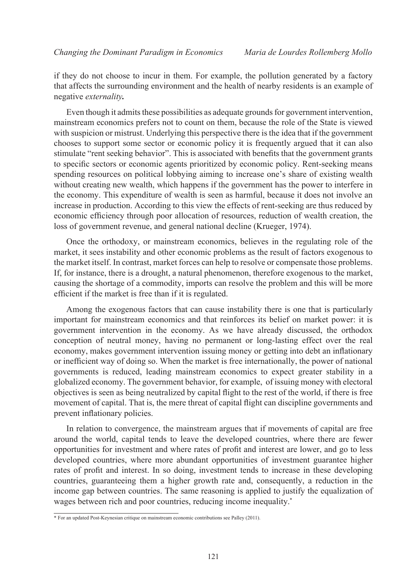if they do not choose to incur in them. For example, the pollution generated by a factory that affects the surrounding environment and the health of nearby residents is an example of negative *externality.* 

Even though it admits these possibilities as adequate grounds for government intervention, mainstream economics prefers not to count on them, because the role of the State is viewed with suspicion or mistrust. Underlying this perspective there is the idea that if the government chooses to support some sector or economic policy it is frequently argued that it can also stimulate "rent seeking behavior". This is associated with benefits that the government grants to specific sectors or economic agents prioritized by economic policy. Rent-seeking means spending resources on political lobbying aiming to increase one's share of existing wealth without creating new wealth, which happens if the government has the power to interfere in the economy. This expenditure of wealth is seen as harmful, because it does not involve an increase in production. According to this view the effects of rent-seeking are thus reduced by economic efficiency through poor allocation of resources, reduction of wealth creation, the loss of government revenue, and general national decline (Krueger, 1974).

Once the orthodoxy, or mainstream economics, believes in the regulating role of the market, it sees instability and other economic problems as the result of factors exogenous to the market itself. In contrast, market forces can help to resolve or compensate those problems. If, for instance, there is a drought, a natural phenomenon, therefore exogenous to the market, causing the shortage of a commodity, imports can resolve the problem and this will be more efficient if the market is free than if it is regulated.

Among the exogenous factors that can cause instability there is one that is particularly important for mainstream economics and that reinforces its belief on market power: it is government intervention in the economy. As we have already discussed, the orthodox conception of neutral money, having no permanent or long-lasting effect over the real economy, makes government intervention issuing money or getting into debt an inflationary or inefficient way of doing so. When the market is free internationally, the power of national governments is reduced, leading mainstream economics to expect greater stability in a globalized economy. The government behavior, for example, of issuing money with electoral objectives is seen as being neutralized by capital flight to the rest of the world, if there is free movement of capital. That is, the mere threat of capital flight can discipline governments and prevent inflationary policies.

In relation to convergence, the mainstream argues that if movements of capital are free around the world, capital tends to leave the developed countries, where there are fewer opportunities for investment and where rates of profit and interest are lower, and go to less developed countries, where more abundant opportunities of investment guarantee higher rates of profit and interest. In so doing, investment tends to increase in these developing countries, guaranteeing them a higher growth rate and, consequently, a reduction in the income gap between countries. The same reasoning is applied to justify the equalization of wages between rich and poor countries, reducing income inequality.<sup>\*</sup>

<sup>\*</sup> For an updated Post-Keynesian critique on mainstream economic contributions see Palley (2011).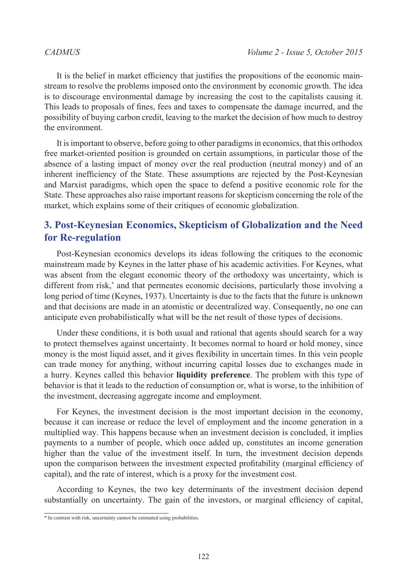It is the belief in market efficiency that justifies the propositions of the economic mainstream to resolve the problems imposed onto the environment by economic growth. The idea is to discourage environmental damage by increasing the cost to the capitalists causing it. This leads to proposals of fines, fees and taxes to compensate the damage incurred, and the possibility of buying carbon credit, leaving to the market the decision of how much to destroy the environment.

It is important to observe, before going to other paradigms in economics, that this orthodox free market-oriented position is grounded on certain assumptions, in particular those of the absence of a lasting impact of money over the real production (neutral money) and of an inherent inefficiency of the State. These assumptions are rejected by the Post-Keynesian and Marxist paradigms, which open the space to defend a positive economic role for the State. These approaches also raise important reasons for skepticism concerning the role of the market, which explains some of their critiques of economic globalization.

## **3. Post-Keynesian Economics, Skepticism of Globalization and the Need for Re-regulation**

Post-Keynesian economics develops its ideas following the critiques to the economic mainstream made by Keynes in the latter phase of his academic activities. For Keynes, what was absent from the elegant economic theory of the orthodoxy was uncertainty, which is different from risk,<sup>\*</sup> and that permeates economic decisions, particularly those involving a long period of time (Keynes, 1937). Uncertainty is due to the facts that the future is unknown and that decisions are made in an atomistic or decentralized way. Consequently, no one can anticipate even probabilistically what will be the net result of those types of decisions.

Under these conditions, it is both usual and rational that agents should search for a way to protect themselves against uncertainty. It becomes normal to hoard or hold money, since money is the most liquid asset, and it gives flexibility in uncertain times. In this vein people can trade money for anything, without incurring capital losses due to exchanges made in a hurry. Keynes called this behavior **liquidity preference**. The problem with this type of behavior is that it leads to the reduction of consumption or, what is worse, to the inhibition of the investment, decreasing aggregate income and employment.

For Keynes, the investment decision is the most important decision in the economy, because it can increase or reduce the level of employment and the income generation in a multiplied way. This happens because when an investment decision is concluded, it implies payments to a number of people, which once added up, constitutes an income generation higher than the value of the investment itself. In turn, the investment decision depends upon the comparison between the investment expected profitability (marginal efficiency of capital), and the rate of interest, which is a proxy for the investment cost.

According to Keynes, the two key determinants of the investment decision depend substantially on uncertainty. The gain of the investors, or marginal efficiency of capital,

<sup>\*</sup> In contrast with risk, uncertainty cannot be estimated using probabilities.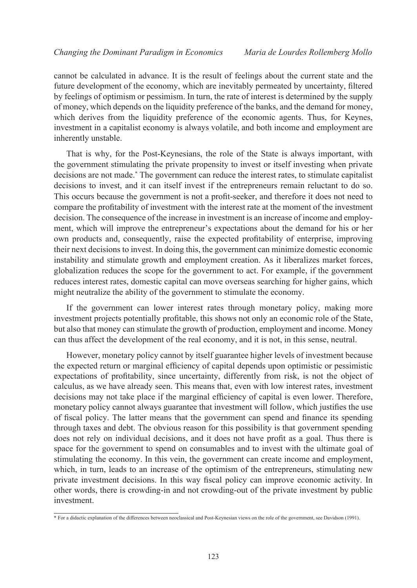cannot be calculated in advance. It is the result of feelings about the current state and the future development of the economy, which are inevitably permeated by uncertainty, filtered by feelings of optimism or pessimism. In turn, the rate of interest is determined by the supply of money, which depends on the liquidity preference of the banks, and the demand for money, which derives from the liquidity preference of the economic agents. Thus, for Keynes, investment in a capitalist economy is always volatile, and both income and employment are inherently unstable.

That is why, for the Post-Keynesians, the role of the State is always important, with the government stimulating the private propensity to invest or itself investing when private decisions are not made.\* The government can reduce the interest rates, to stimulate capitalist decisions to invest, and it can itself invest if the entrepreneurs remain reluctant to do so. This occurs because the government is not a profit-seeker, and therefore it does not need to compare the profitability of investment with the interest rate at the moment of the investment decision. The consequence of the increase in investment is an increase of income and employment, which will improve the entrepreneur's expectations about the demand for his or her own products and, consequently, raise the expected profitability of enterprise, improving their next decisions to invest. In doing this, the government can minimize domestic economic instability and stimulate growth and employment creation. As it liberalizes market forces, globalization reduces the scope for the government to act. For example, if the government reduces interest rates, domestic capital can move overseas searching for higher gains, which might neutralize the ability of the government to stimulate the economy.

If the government can lower interest rates through monetary policy, making more investment projects potentially profitable, this shows not only an economic role of the State, but also that money can stimulate the growth of production, employment and income. Money can thus affect the development of the real economy, and it is not, in this sense, neutral.

However, monetary policy cannot by itself guarantee higher levels of investment because the expected return or marginal efficiency of capital depends upon optimistic or pessimistic expectations of profitability, since uncertainty, differently from risk, is not the object of calculus, as we have already seen. This means that, even with low interest rates, investment decisions may not take place if the marginal efficiency of capital is even lower. Therefore, monetary policy cannot always guarantee that investment will follow, which justifies the use of fiscal policy. The latter means that the government can spend and finance its spending through taxes and debt. The obvious reason for this possibility is that government spending does not rely on individual decisions, and it does not have profit as a goal. Thus there is space for the government to spend on consumables and to invest with the ultimate goal of stimulating the economy. In this vein, the government can create income and employment, which, in turn, leads to an increase of the optimism of the entrepreneurs, stimulating new private investment decisions. In this way fiscal policy can improve economic activity. In other words, there is crowding-in and not crowding-out of the private investment by public investment.

<sup>\*</sup> For a didactic explanation of the differences between neoclassical and Post-Keynesian views on the role of the government, see Davidson (1991).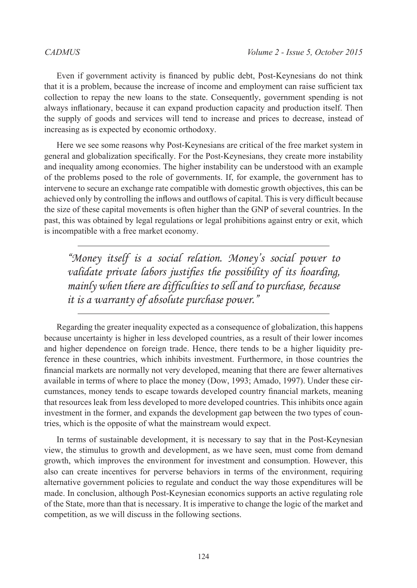Even if government activity is financed by public debt, Post-Keynesians do not think that it is a problem, because the increase of income and employment can raise sufficient tax collection to repay the new loans to the state. Consequently, government spending is not always inflationary, because it can expand production capacity and production itself. Then the supply of goods and services will tend to increase and prices to decrease, instead of increasing as is expected by economic orthodoxy.

Here we see some reasons why Post-Keynesians are critical of the free market system in general and globalization specifically. For the Post-Keynesians, they create more instability and inequality among economies. The higher instability can be understood with an example of the problems posed to the role of governments. If, for example, the government has to intervene to secure an exchange rate compatible with domestic growth objectives, this can be achieved only by controlling the inflows and outflows of capital. This is very difficult because the size of these capital movements is often higher than the GNP of several countries. In the past, this was obtained by legal regulations or legal prohibitions against entry or exit, which is incompatible with a free market economy.

*"Money itself is a social relation. Money's social power to validate private labors justifies the possibility of its hoarding, mainly when there are difficulties to sell and to purchase, because it is a warranty of absolute purchase power."*

Regarding the greater inequality expected as a consequence of globalization, this happens because uncertainty is higher in less developed countries, as a result of their lower incomes and higher dependence on foreign trade. Hence, there tends to be a higher liquidity preference in these countries, which inhibits investment. Furthermore, in those countries the financial markets are normally not very developed, meaning that there are fewer alternatives available in terms of where to place the money (Dow, 1993; Amado, 1997). Under these circumstances, money tends to escape towards developed country financial markets, meaning that resources leak from less developed to more developed countries. This inhibits once again investment in the former, and expands the development gap between the two types of countries, which is the opposite of what the mainstream would expect.

In terms of sustainable development, it is necessary to say that in the Post-Keynesian view, the stimulus to growth and development, as we have seen, must come from demand growth, which improves the environment for investment and consumption. However, this also can create incentives for perverse behaviors in terms of the environment, requiring alternative government policies to regulate and conduct the way those expenditures will be made. In conclusion, although Post-Keynesian economics supports an active regulating role of the State, more than that is necessary. It is imperative to change the logic of the market and competition, as we will discuss in the following sections.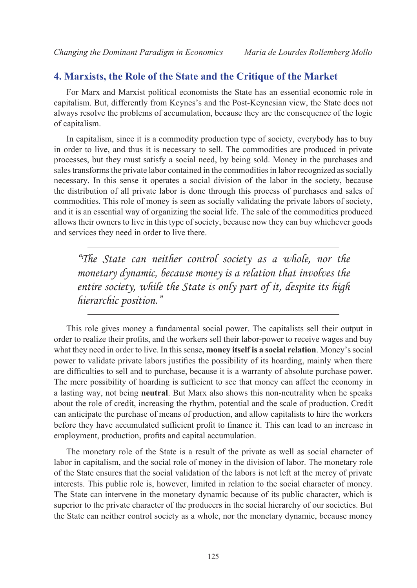### **4. Marxists, the Role of the State and the Critique of the Market**

For Marx and Marxist political economists the State has an essential economic role in capitalism. But, differently from Keynes's and the Post-Keynesian view, the State does not always resolve the problems of accumulation, because they are the consequence of the logic of capitalism.

In capitalism, since it is a commodity production type of society, everybody has to buy in order to live, and thus it is necessary to sell. The commodities are produced in private processes, but they must satisfy a social need, by being sold. Money in the purchases and sales transforms the private labor contained in the commodities in labor recognized as socially necessary. In this sense it operates a social division of the labor in the society, because the distribution of all private labor is done through this process of purchases and sales of commodities. This role of money is seen as socially validating the private labors of society, and it is an essential way of organizing the social life. The sale of the commodities produced allows their owners to live in this type of society, because now they can buy whichever goods and services they need in order to live there.

*"The State can neither control society as a whole, nor the monetary dynamic, because money is a relation that involves the entire society, while the State is only part of it, despite its high hierarchic position."*

This role gives money a fundamental social power. The capitalists sell their output in order to realize their profits, and the workers sell their labor-power to receive wages and buy what they need in order to live. In this sense**, money itself is a social relation**. Money's social power to validate private labors justifies the possibility of its hoarding, mainly when there are difficulties to sell and to purchase, because it is a warranty of absolute purchase power. The mere possibility of hoarding is sufficient to see that money can affect the economy in a lasting way, not being **neutral**. But Marx also shows this non-neutrality when he speaks about the role of credit, increasing the rhythm, potential and the scale of production. Credit can anticipate the purchase of means of production, and allow capitalists to hire the workers before they have accumulated sufficient profit to finance it. This can lead to an increase in employment, production, profits and capital accumulation.

The monetary role of the State is a result of the private as well as social character of labor in capitalism, and the social role of money in the division of labor. The monetary role of the State ensures that the social validation of the labors is not left at the mercy of private interests. This public role is, however, limited in relation to the social character of money. The State can intervene in the monetary dynamic because of its public character, which is superior to the private character of the producers in the social hierarchy of our societies. But the State can neither control society as a whole, nor the monetary dynamic, because money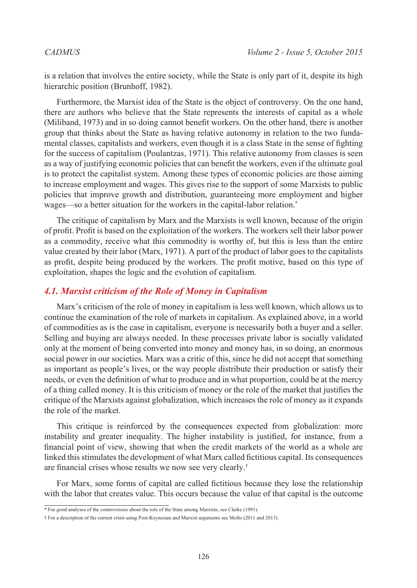is a relation that involves the entire society, while the State is only part of it, despite its high hierarchic position (Brunhoff, 1982).

Furthermore, the Marxist idea of the State is the object of controversy. On the one hand, there are authors who believe that the State represents the interests of capital as a whole (Miliband, 1973) and in so doing cannot benefit workers. On the other hand, there is another group that thinks about the State as having relative autonomy in relation to the two fundamental classes, capitalists and workers, even though it is a class State in the sense of fighting for the success of capitalism (Poulantzas, 1971). This relative autonomy from classes is seen as a way of justifying economic policies that can benefit the workers, even if the ultimate goal is to protect the capitalist system. Among these types of economic policies are those aiming to increase employment and wages. This gives rise to the support of some Marxists to public policies that improve growth and distribution, guaranteeing more employment and higher wages—so a better situation for the workers in the capital-labor relation.<sup>\*</sup>

The critique of capitalism by Marx and the Marxists is well known, because of the origin of profit. Profit is based on the exploitation of the workers. The workers sell their labor power as a commodity, receive what this commodity is worthy of, but this is less than the entire value created by their labor (Marx, 1971). A part of the product of labor goes to the capitalists as profit, despite being produced by the workers. The profit motive, based on this type of exploitation, shapes the logic and the evolution of capitalism.

#### *4.1. Marxist criticism of the Role of Money in Capitalism*

Marx's criticism of the role of money in capitalism is less well known, which allows us to continue the examination of the role of markets in capitalism. As explained above, in a world of commodities as is the case in capitalism, everyone is necessarily both a buyer and a seller. Selling and buying are always needed. In these processes private labor is socially validated only at the moment of being converted into money and money has, in so doing, an enormous social power in our societies. Marx was a critic of this, since he did not accept that something as important as people's lives, or the way people distribute their production or satisfy their needs, or even the definition of what to produce and in what proportion, could be at the mercy of a thing called money. It is this criticism of money or the role of the market that justifies the critique of the Marxists against globalization, which increases the role of money as it expands the role of the market.

This critique is reinforced by the consequences expected from globalization: more instability and greater inequality. The higher instability is justified, for instance, from a financial point of view, showing that when the credit markets of the world as a whole are linked this stimulates the development of what Marx called fictitious capital. Its consequences are financial crises whose results we now see very clearly.†

For Marx, some forms of capital are called fictitious because they lose the relationship with the labor that creates value. This occurs because the value of that capital is the outcome

<sup>\*</sup> For good analyses of the controversies about the role of the State among Marxists, see Clarke (1991).

<sup>†</sup> For a description of the current crisis using Post-Keynesian and Marxist arguments see Mollo (2011 and 2013).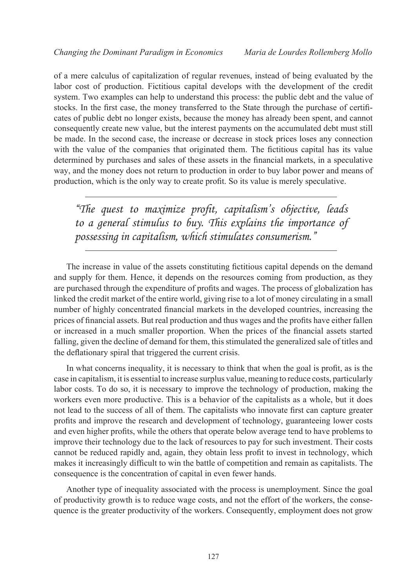of a mere calculus of capitalization of regular revenues, instead of being evaluated by the labor cost of production. Fictitious capital develops with the development of the credit system. Two examples can help to understand this process: the public debt and the value of stocks. In the first case, the money transferred to the State through the purchase of certificates of public debt no longer exists, because the money has already been spent, and cannot consequently create new value, but the interest payments on the accumulated debt must still be made. In the second case, the increase or decrease in stock prices loses any connection with the value of the companies that originated them. The fictitious capital has its value determined by purchases and sales of these assets in the financial markets, in a speculative way, and the money does not return to production in order to buy labor power and means of production, which is the only way to create profit. So its value is merely speculative.

*"The quest to maximize profit, capitalism's objective, leads to a general stimulus to buy. This explains the importance of possessing in capitalism, which stimulates consumerism."*

The increase in value of the assets constituting fictitious capital depends on the demand and supply for them. Hence, it depends on the resources coming from production, as they are purchased through the expenditure of profits and wages. The process of globalization has linked the credit market of the entire world, giving rise to a lot of money circulating in a small number of highly concentrated financial markets in the developed countries, increasing the prices of financial assets. But real production and thus wages and the profits have either fallen or increased in a much smaller proportion. When the prices of the financial assets started falling, given the decline of demand for them, this stimulated the generalized sale of titles and the deflationary spiral that triggered the current crisis.

In what concerns inequality, it is necessary to think that when the goal is profit, as is the case in capitalism, it is essential to increase surplus value, meaning to reduce costs, particularly labor costs. To do so, it is necessary to improve the technology of production, making the workers even more productive. This is a behavior of the capitalists as a whole, but it does not lead to the success of all of them. The capitalists who innovate first can capture greater profits and improve the research and development of technology, guaranteeing lower costs and even higher profits, while the others that operate below average tend to have problems to improve their technology due to the lack of resources to pay for such investment. Their costs cannot be reduced rapidly and, again, they obtain less profit to invest in technology, which makes it increasingly difficult to win the battle of competition and remain as capitalists. The consequence is the concentration of capital in even fewer hands.

Another type of inequality associated with the process is unemployment. Since the goal of productivity growth is to reduce wage costs, and not the effort of the workers, the consequence is the greater productivity of the workers. Consequently, employment does not grow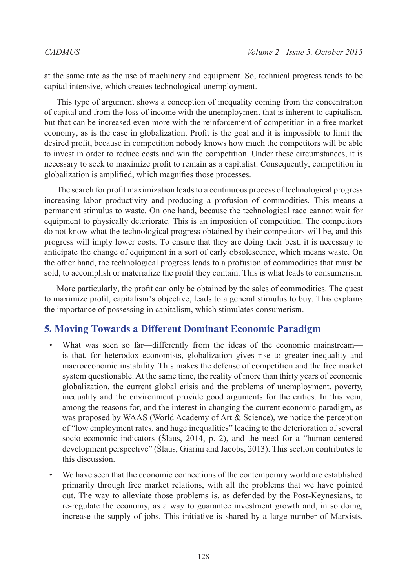at the same rate as the use of machinery and equipment. So, technical progress tends to be capital intensive, which creates technological unemployment.

This type of argument shows a conception of inequality coming from the concentration of capital and from the loss of income with the unemployment that is inherent to capitalism, but that can be increased even more with the reinforcement of competition in a free market economy, as is the case in globalization. Profit is the goal and it is impossible to limit the desired profit, because in competition nobody knows how much the competitors will be able to invest in order to reduce costs and win the competition. Under these circumstances, it is necessary to seek to maximize profit to remain as a capitalist. Consequently, competition in globalization is amplified, which magnifies those processes.

The search for profit maximization leads to a continuous process of technological progress increasing labor productivity and producing a profusion of commodities. This means a permanent stimulus to waste. On one hand, because the technological race cannot wait for equipment to physically deteriorate. This is an imposition of competition. The competitors do not know what the technological progress obtained by their competitors will be, and this progress will imply lower costs. To ensure that they are doing their best, it is necessary to anticipate the change of equipment in a sort of early obsolescence, which means waste. On the other hand, the technological progress leads to a profusion of commodities that must be sold, to accomplish or materialize the profit they contain. This is what leads to consumerism.

More particularly, the profit can only be obtained by the sales of commodities. The quest to maximize profit, capitalism's objective, leads to a general stimulus to buy. This explains the importance of possessing in capitalism, which stimulates consumerism.

## **5. Moving Towards a Different Dominant Economic Paradigm**

- What was seen so far—differently from the ideas of the economic mainstream is that, for heterodox economists, globalization gives rise to greater inequality and macroeconomic instability. This makes the defense of competition and the free market system questionable. At the same time, the reality of more than thirty years of economic globalization, the current global crisis and the problems of unemployment, poverty, inequality and the environment provide good arguments for the critics. In this vein, among the reasons for, and the interest in changing the current economic paradigm, as was proposed by WAAS (World Academy of Art & Science), we notice the perception of "low employment rates, and huge inequalities" leading to the deterioration of several socio-economic indicators (Šlaus, 2014, p. 2), and the need for a "human-centered development perspective" (Šlaus, Giarini and Jacobs, 2013). This section contributes to this discussion.
- We have seen that the economic connections of the contemporary world are established primarily through free market relations, with all the problems that we have pointed out. The way to alleviate those problems is, as defended by the Post-Keynesians, to re-regulate the economy, as a way to guarantee investment growth and, in so doing, increase the supply of jobs. This initiative is shared by a large number of Marxists.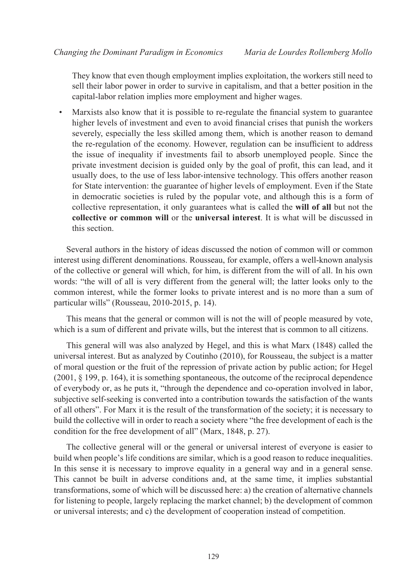They know that even though employment implies exploitation, the workers still need to sell their labor power in order to survive in capitalism, and that a better position in the capital-labor relation implies more employment and higher wages.

Marxists also know that it is possible to re-regulate the financial system to guarantee higher levels of investment and even to avoid financial crises that punish the workers severely, especially the less skilled among them, which is another reason to demand the re-regulation of the economy. However, regulation can be insufficient to address the issue of inequality if investments fail to absorb unemployed people. Since the private investment decision is guided only by the goal of profit, this can lead, and it usually does, to the use of less labor-intensive technology. This offers another reason for State intervention: the guarantee of higher levels of employment. Even if the State in democratic societies is ruled by the popular vote, and although this is a form of collective representation, it only guarantees what is called the **will of all** but not the **collective or common will** or the **universal interest**. It is what will be discussed in this section.

Several authors in the history of ideas discussed the notion of common will or common interest using different denominations. Rousseau, for example, offers a well-known analysis of the collective or general will which, for him, is different from the will of all. In his own words: "the will of all is very different from the general will; the latter looks only to the common interest, while the former looks to private interest and is no more than a sum of particular wills" (Rousseau, 2010-2015, p. 14).

This means that the general or common will is not the will of people measured by vote, which is a sum of different and private wills, but the interest that is common to all citizens.

This general will was also analyzed by Hegel, and this is what Marx (1848) called the universal interest. But as analyzed by Coutinho (2010), for Rousseau, the subject is a matter of moral question or the fruit of the repression of private action by public action; for Hegel (2001, § 199, p. 164), it is something spontaneous, the outcome of the reciprocal dependence of everybody or, as he puts it, "through the dependence and co-operation involved in labor, subjective self-seeking is converted into a contribution towards the satisfaction of the wants of all others". For Marx it is the result of the transformation of the society; it is necessary to build the collective will in order to reach a society where "the free development of each is the condition for the free development of all" (Marx, 1848, p. 27).

The collective general will or the general or universal interest of everyone is easier to build when people's life conditions are similar, which is a good reason to reduce inequalities. In this sense it is necessary to improve equality in a general way and in a general sense. This cannot be built in adverse conditions and, at the same time, it implies substantial transformations, some of which will be discussed here: a) the creation of alternative channels for listening to people, largely replacing the market channel; b) the development of common or universal interests; and c) the development of cooperation instead of competition.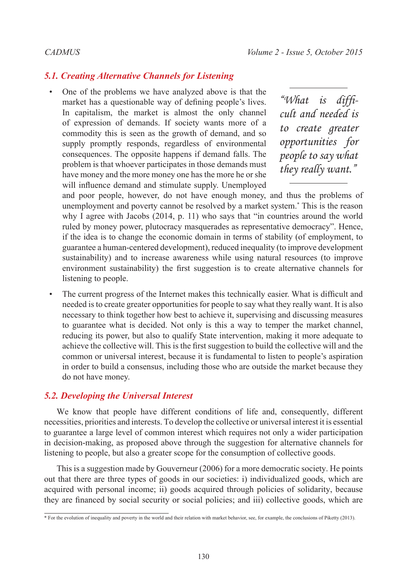## *5.1. Creating Alternative Channels for Listening*

• One of the problems we have analyzed above is that the market has a questionable way of defining people's lives. In capitalism, the market is almost the only channel of expression of demands. If society wants more of a commodity this is seen as the growth of demand, and so supply promptly responds, regardless of environmental consequences. The opposite happens if demand falls. The problem is that whoever participates in those demands must have money and the more money one has the more he or she will influence demand and stimulate supply. Unemployed

*"What is difficult and needed is to create greater opportunities for people to say what they really want."*

and poor people, however, do not have enough money, and thus the problems of unemployment and poverty cannot be resolved by a market system.\* This is the reason why I agree with Jacobs (2014, p. 11) who says that "in countries around the world ruled by money power, plutocracy masquerades as representative democracy". Hence, if the idea is to change the economic domain in terms of stability (of employment, to guarantee a human-centered development), reduced inequality (to improve development sustainability) and to increase awareness while using natural resources (to improve environment sustainability) the first suggestion is to create alternative channels for listening to people.

• The current progress of the Internet makes this technically easier. What is difficult and needed is to create greater opportunities for people to say what they really want. It is also necessary to think together how best to achieve it, supervising and discussing measures to guarantee what is decided. Not only is this a way to temper the market channel, reducing its power, but also to qualify State intervention, making it more adequate to achieve the collective will. This is the first suggestion to build the collective will and the common or universal interest, because it is fundamental to listen to people's aspiration in order to build a consensus, including those who are outside the market because they do not have money.

### *5.2. Developing the Universal Interest*

We know that people have different conditions of life and, consequently, different necessities, priorities and interests. To develop the collective or universal interest it is essential to guarantee a large level of common interest which requires not only a wider participation in decision-making, as proposed above through the suggestion for alternative channels for listening to people, but also a greater scope for the consumption of collective goods.

This is a suggestion made by Gouverneur (2006) for a more democratic society. He points out that there are three types of goods in our societies: i) individualized goods, which are acquired with personal income; ii) goods acquired through policies of solidarity, because they are financed by social security or social policies; and iii) collective goods, which are

<sup>\*</sup> For the evolution of inequality and poverty in the world and their relation with market behavior, see, for example, the conclusions of Piketty (2013).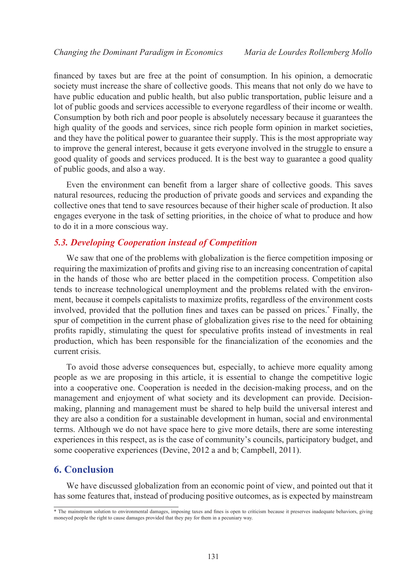financed by taxes but are free at the point of consumption. In his opinion, a democratic society must increase the share of collective goods. This means that not only do we have to have public education and public health, but also public transportation, public leisure and a lot of public goods and services accessible to everyone regardless of their income or wealth. Consumption by both rich and poor people is absolutely necessary because it guarantees the high quality of the goods and services, since rich people form opinion in market societies. and they have the political power to guarantee their supply. This is the most appropriate way to improve the general interest, because it gets everyone involved in the struggle to ensure a good quality of goods and services produced. It is the best way to guarantee a good quality of public goods, and also a way.

Even the environment can benefit from a larger share of collective goods. This saves natural resources, reducing the production of private goods and services and expanding the collective ones that tend to save resources because of their higher scale of production. It also engages everyone in the task of setting priorities, in the choice of what to produce and how to do it in a more conscious way.

#### *5.3. Developing Cooperation instead of Competition*

We saw that one of the problems with globalization is the fierce competition imposing or requiring the maximization of profits and giving rise to an increasing concentration of capital in the hands of those who are better placed in the competition process. Competition also tends to increase technological unemployment and the problems related with the environment, because it compels capitalists to maximize profits, regardless of the environment costs involved, provided that the pollution fines and taxes can be passed on prices.\* Finally, the spur of competition in the current phase of globalization gives rise to the need for obtaining profits rapidly, stimulating the quest for speculative profits instead of investments in real production, which has been responsible for the financialization of the economies and the current crisis.

To avoid those adverse consequences but, especially, to achieve more equality among people as we are proposing in this article, it is essential to change the competitive logic into a cooperative one. Cooperation is needed in the decision-making process, and on the management and enjoyment of what society and its development can provide. Decisionmaking, planning and management must be shared to help build the universal interest and they are also a condition for a sustainable development in human, social and environmental terms. Although we do not have space here to give more details, there are some interesting experiences in this respect, as is the case of community's councils, participatory budget, and some cooperative experiences (Devine, 2012 a and b; Campbell, 2011).

### **6. Conclusion**

We have discussed globalization from an economic point of view, and pointed out that it has some features that, instead of producing positive outcomes, as is expected by mainstream

<sup>\*</sup> The mainstream solution to environmental damages, imposing taxes and fines is open to criticism because it preserves inadequate behaviors, giving moneyed people the right to cause damages provided that they pay for them in a pecuniary way.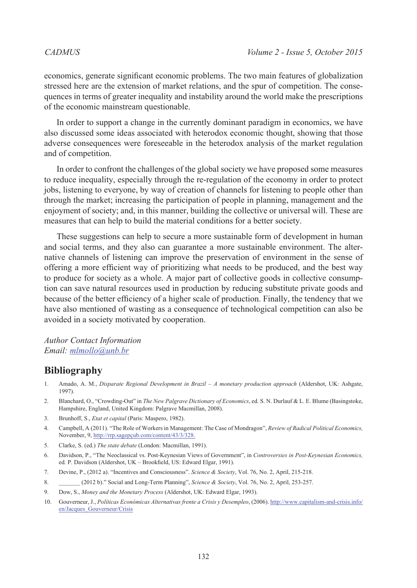economics, generate significant economic problems. The two main features of globalization stressed here are the extension of market relations, and the spur of competition. The consequences in terms of greater inequality and instability around the world make the prescriptions of the economic mainstream questionable.

In order to support a change in the currently dominant paradigm in economics, we have also discussed some ideas associated with heterodox economic thought, showing that those adverse consequences were foreseeable in the heterodox analysis of the market regulation and of competition.

In order to confront the challenges of the global society we have proposed some measures to reduce inequality, especially through the re-regulation of the economy in order to protect jobs, listening to everyone, by way of creation of channels for listening to people other than through the market; increasing the participation of people in planning, management and the enjoyment of society; and, in this manner, building the collective or universal will. These are measures that can help to build the material conditions for a better society.

These suggestions can help to secure a more sustainable form of development in human and social terms, and they also can guarantee a more sustainable environment. The alternative channels of listening can improve the preservation of environment in the sense of offering a more efficient way of prioritizing what needs to be produced, and the best way to produce for society as a whole. A major part of collective goods in collective consumption can save natural resources used in production by reducing substitute private goods and because of the better efficiency of a higher scale of production. Finally, the tendency that we have also mentioned of wasting as a consequence of technological competition can also be avoided in a society motivated by cooperation.

### *Author Contact Information Email: [mlmollo@unb.br](mailto:mlmollo%40unb.br?subject=)*

## **Bibliography**

- 1. Amado, A. M., *Disparate Regional Development in Brazil A monetary production approach* (Aldershot, UK: Ashgate, 1997).
- 2. Blanchard, O., "Crowding-Out" in *The New Palgrave Dictionary of Economics*, ed. S. N. Durlauf & L. E. Blume (Basingstoke, Hampshire, England, United Kingdom: Palgrave Macmillan, 2008).
- 3. Brunhoff, S., *Etat et capital* (Paris: Maspero, 1982).
- 4. Campbell, A (2011). "The Role of Workers in Management: The Case of Mondragon", *Review of Radical Political Economics,*  November, 9, [http://rrp.sagepçub.com/content/43/3/328.](http://rrp.sagep�ub.com/content/43/3/328)
- 5. Clarke, S. (ed.) *The state debate* (London: Macmillan, 1991).
- 6. Davidson, P., "The Neoclassical vs. Post-Keynesian Views of Government", in *Controversies in Post-Keynesian Economics,*  ed*.* P. Davidson (Aldershot, UK – Brookfield, US: Edward Elgar, 1991).
- 7. Devine, P., (2012 a). "Incentives and Consciousness". *Science & Society*, Vol. 76, No. 2, April, 215-218.
- 8. \_\_\_\_\_\_\_ (2012 b)." Social and Long-Term Planning", *Science & Society*, Vol. 76, No. 2, April, 253-257.
- 9. Dow, S., *Money and the Monetary Process* (Aldershot, UK: Edward Elgar, 1993).
- 10. Gouverneur, J., *Políticas Económicas Alternativas frente a Crisis y Desempleo*, (2006). [http://www.capitalism-and-crisis.info/](http://www.capitalism-and-crisis.info/en/Jacques_Gouverneur/Crisis) [en/Jacques\\_Gouverneur/Crisis](http://www.capitalism-and-crisis.info/en/Jacques_Gouverneur/Crisis)